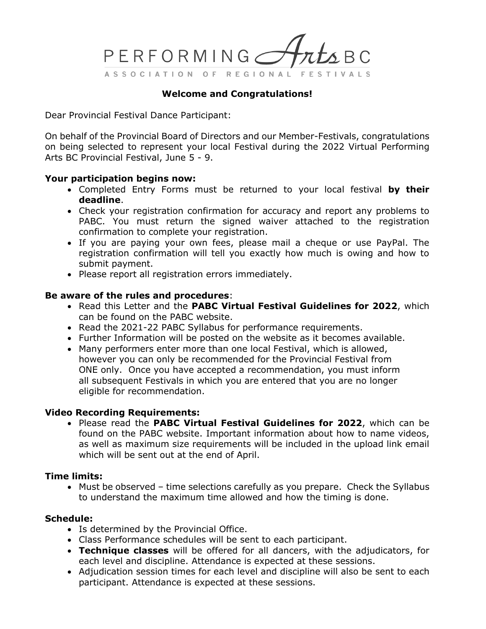

## **Welcome and Congratulations!**

Dear Provincial Festival Dance Participant:

On behalf of the Provincial Board of Directors and our Member-Festivals, congratulations on being selected to represent your local Festival during the 2022 Virtual Performing Arts BC Provincial Festival, June 5 - 9.

## **Your participation begins now:**

- Completed Entry Forms must be returned to your local festival **by their deadline**.
- Check your registration confirmation for accuracy and report any problems to PABC. You must return the signed waiver attached to the registration confirmation to complete your registration.
- If you are paying your own fees, please mail a cheque or use PayPal. The registration confirmation will tell you exactly how much is owing and how to submit payment.
- Please report all registration errors immediately.

#### **Be aware of the rules and procedures**:

- Read this Letter and the **PABC Virtual Festival Guidelines for 2022**, which can be found on the PABC website.
- Read the 2021-22 PABC Syllabus for performance requirements.
- Further Information will be posted on the website as it becomes available.
- Many performers enter more than one local Festival, which is allowed, however you can only be recommended for the Provincial Festival from ONE only. Once you have accepted a recommendation, you must inform all subsequent Festivals in which you are entered that you are no longer eligible for recommendation.

## **Video Recording Requirements:**

• Please read the **PABC Virtual Festival Guidelines for 2022**, which can be found on the PABC website. Important information about how to name videos, as well as maximum size requirements will be included in the upload link email which will be sent out at the end of April.

#### **Time limits:**

• Must be observed – time selections carefully as you prepare. Check the Syllabus to understand the maximum time allowed and how the timing is done.

## **Schedule:**

- Is determined by the Provincial Office.
- Class Performance schedules will be sent to each participant.
- **Technique classes** will be offered for all dancers, with the adjudicators, for each level and discipline. Attendance is expected at these sessions.
- Adjudication session times for each level and discipline will also be sent to each participant. Attendance is expected at these sessions.